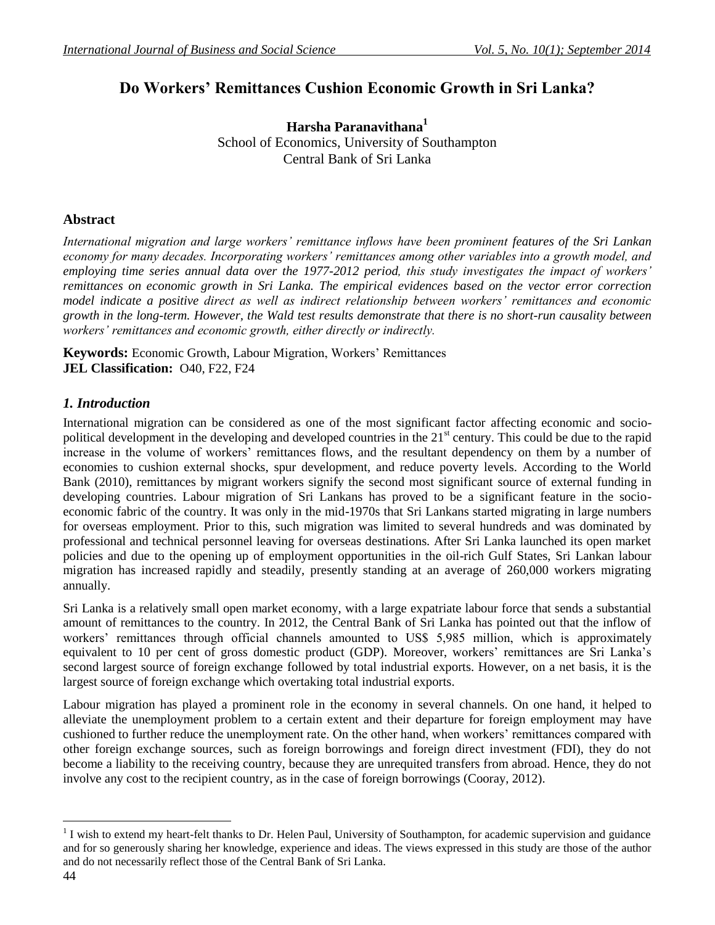# **Do Workers' Remittances Cushion Economic Growth in Sri Lanka?**

**Harsha Paranavithana<sup>1</sup>** School of Economics, University of Southampton Central Bank of Sri Lanka

## **Abstract**

*International migration and large workers' remittance inflows have been prominent features of the Sri Lankan economy for many decades. Incorporating workers' remittances among other variables into a growth model, and employing time series annual data over the 1977-2012 period, this study investigates the impact of workers' remittances on economic growth in Sri Lanka. The empirical evidences based on the vector error correction model indicate a positive direct as well as indirect relationship between workers' remittances and economic growth in the long-term. However, the Wald test results demonstrate that there is no short-run causality between workers' remittances and economic growth, either directly or indirectly.* 

**Keywords:** Economic Growth, Labour Migration, Workers' Remittances **JEL Classification:** O40, F22, F24

## *1. Introduction*

International migration can be considered as one of the most significant factor affecting economic and sociopolitical development in the developing and developed countries in the 21<sup>st</sup> century. This could be due to the rapid increase in the volume of workers' remittances flows, and the resultant dependency on them by a number of economies to cushion external shocks, spur development, and reduce poverty levels. According to the World Bank (2010), remittances by migrant workers signify the second most significant source of external funding in developing countries. Labour migration of Sri Lankans has proved to be a significant feature in the socioeconomic fabric of the country. It was only in the mid-1970s that Sri Lankans started migrating in large numbers for overseas employment. Prior to this, such migration was limited to several hundreds and was dominated by professional and technical personnel leaving for overseas destinations. After Sri Lanka launched its open market policies and due to the opening up of employment opportunities in the oil-rich Gulf States, Sri Lankan labour migration has increased rapidly and steadily, presently standing at an average of 260,000 workers migrating annually.

Sri Lanka is a relatively small open market economy, with a large expatriate labour force that sends a substantial amount of remittances to the country. In 2012, the Central Bank of Sri Lanka has pointed out that the inflow of workers' remittances through official channels amounted to US\$ 5,985 million, which is approximately equivalent to 10 per cent of gross domestic product (GDP). Moreover, workers' remittances are Sri Lanka's second largest source of foreign exchange followed by total industrial exports. However, on a net basis, it is the largest source of foreign exchange which overtaking total industrial exports.

Labour migration has played a prominent role in the economy in several channels. On one hand, it helped to alleviate the unemployment problem to a certain extent and their departure for foreign employment may have cushioned to further reduce the unemployment rate. On the other hand, when workers' remittances compared with other foreign exchange sources, such as foreign borrowings and foreign direct investment (FDI), they do not become a liability to the receiving country, because they are unrequited transfers from abroad. Hence, they do not involve any cost to the recipient country, as in the case of foreign borrowings (Cooray, 2012).

 $1$  I wish to extend my heart-felt thanks to Dr. Helen Paul, University of Southampton, for academic supervision and guidance and for so generously sharing her knowledge, experience and ideas. The views expressed in this study are those of the author and do not necessarily reflect those of the Central Bank of Sri Lanka.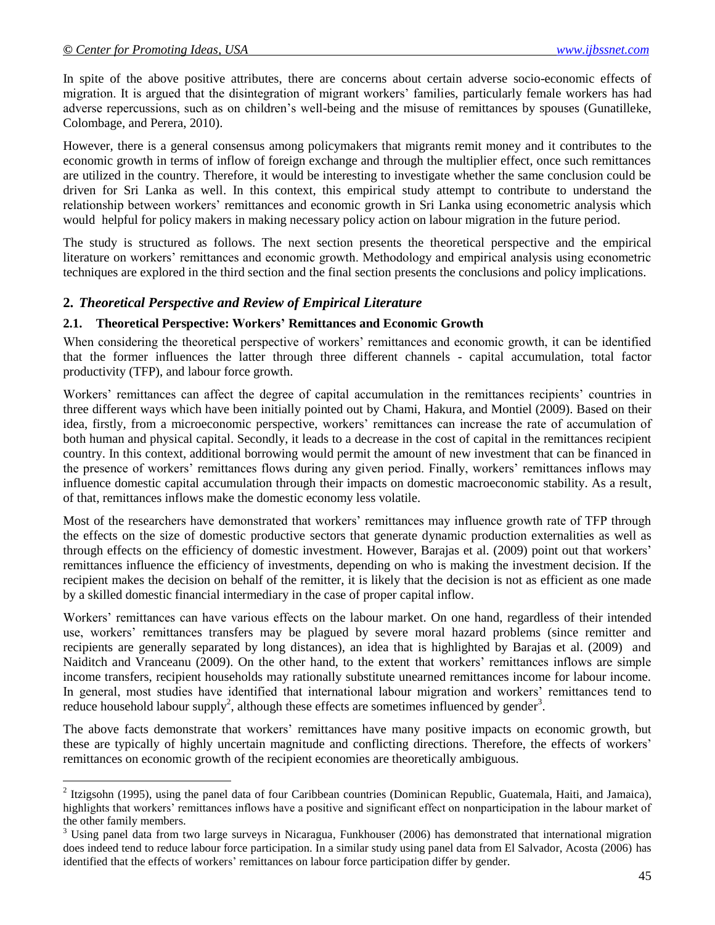$\overline{a}$ 

In spite of the above positive attributes, there are concerns about certain adverse socio-economic effects of migration. It is argued that the disintegration of migrant workers' families, particularly female workers has had adverse repercussions, such as on children's well-being and the misuse of remittances by spouses (Gunatilleke, Colombage, and Perera, 2010).

However, there is a general consensus among policymakers that migrants remit money and it contributes to the economic growth in terms of inflow of foreign exchange and through the multiplier effect, once such remittances are utilized in the country. Therefore, it would be interesting to investigate whether the same conclusion could be driven for Sri Lanka as well. In this context, this empirical study attempt to contribute to understand the relationship between workers' remittances and economic growth in Sri Lanka using econometric analysis which would helpful for policy makers in making necessary policy action on labour migration in the future period.

The study is structured as follows. The next section presents the theoretical perspective and the empirical literature on workers' remittances and economic growth. Methodology and empirical analysis using econometric techniques are explored in the third section and the final section presents the conclusions and policy implications.

### **2.** *Theoretical Perspective and Review of Empirical Literature*

#### **2.1. Theoretical Perspective: Workers' Remittances and Economic Growth**

When considering the theoretical perspective of workers' remittances and economic growth, it can be identified that the former influences the latter through three different channels - capital accumulation, total factor productivity (TFP), and labour force growth.

Workers' remittances can affect the degree of capital accumulation in the remittances recipients' countries in three different ways which have been initially pointed out by Chami, Hakura, and Montiel (2009). Based on their idea, firstly, from a microeconomic perspective, workers' remittances can increase the rate of accumulation of both human and physical capital. Secondly, it leads to a decrease in the cost of capital in the remittances recipient country. In this context, additional borrowing would permit the amount of new investment that can be financed in the presence of workers' remittances flows during any given period. Finally, workers' remittances inflows may influence domestic capital accumulation through their impacts on domestic macroeconomic stability. As a result, of that, remittances inflows make the domestic economy less volatile.

Most of the researchers have demonstrated that workers' remittances may influence growth rate of TFP through the effects on the size of domestic productive sectors that generate dynamic production externalities as well as through effects on the efficiency of domestic investment. However, Barajas et al. (2009) point out that workers' remittances influence the efficiency of investments, depending on who is making the investment decision. If the recipient makes the decision on behalf of the remitter, it is likely that the decision is not as efficient as one made by a skilled domestic financial intermediary in the case of proper capital inflow.

Workers' remittances can have various effects on the labour market. On one hand, regardless of their intended use, workers' remittances transfers may be plagued by severe moral hazard problems (since remitter and recipients are generally separated by long distances), an idea that is highlighted by Barajas et al. (2009) and Naiditch and Vranceanu (2009). On the other hand, to the extent that workers' remittances inflows are simple income transfers, recipient households may rationally substitute unearned remittances income for labour income. In general, most studies have identified that international labour migration and workers' remittances tend to reduce household labour supply<sup>2</sup>, although these effects are sometimes influenced by gender<sup>3</sup>.

The above facts demonstrate that workers' remittances have many positive impacts on economic growth, but these are typically of highly uncertain magnitude and conflicting directions. Therefore, the effects of workers' remittances on economic growth of the recipient economies are theoretically ambiguous.

 $2$  Itzigsohn (1995), using the panel data of four Caribbean countries (Dominican Republic, Guatemala, Haiti, and Jamaica), highlights that workers' remittances inflows have a positive and significant effect on nonparticipation in the labour market of the other family members.

<sup>&</sup>lt;sup>3</sup> Using panel data from two large surveys in Nicaragua, Funkhouser (2006) has demonstrated that international migration does indeed tend to reduce labour force participation. In a similar study using panel data from El Salvador, Acosta (2006) has identified that the effects of workers' remittances on labour force participation differ by gender.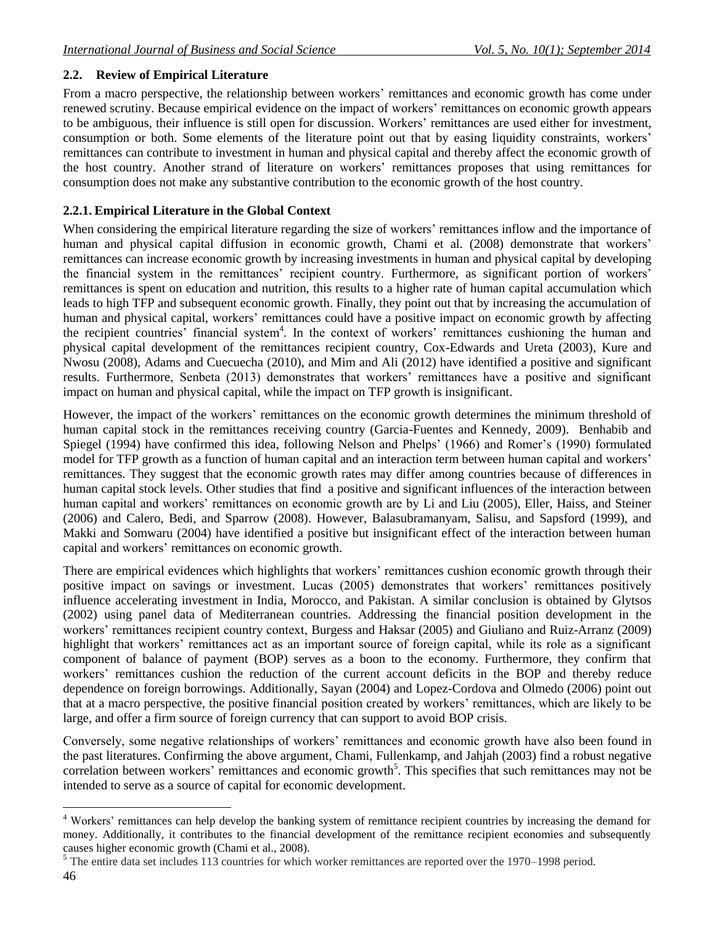## **2.2. Review of Empirical Literature**

From a macro perspective, the relationship between workers' remittances and economic growth has come under renewed scrutiny. Because empirical evidence on the impact of workers' remittances on economic growth appears to be ambiguous, their influence is still open for discussion. Workers' remittances are used either for investment, consumption or both. Some elements of the literature point out that by easing liquidity constraints, workers' remittances can contribute to investment in human and physical capital and thereby affect the economic growth of the host country. Another strand of literature on workers' remittances proposes that using remittances for consumption does not make any substantive contribution to the economic growth of the host country.

## **2.2.1. Empirical Literature in the Global Context**

When considering the empirical literature regarding the size of workers' remittances inflow and the importance of human and physical capital diffusion in economic growth, Chami et al. (2008) demonstrate that workers' remittances can increase economic growth by increasing investments in human and physical capital by developing the financial system in the remittances' recipient country. Furthermore, as significant portion of workers' remittances is spent on education and nutrition, this results to a higher rate of human capital accumulation which leads to high TFP and subsequent economic growth. Finally, they point out that by increasing the accumulation of human and physical capital, workers' remittances could have a positive impact on economic growth by affecting the recipient countries<sup>?</sup> financial system<sup>4</sup>. In the context of workers' remittances cushioning the human and physical capital development of the remittances recipient country, Cox-Edwards and Ureta (2003), Kure and Nwosu (2008), Adams and Cuecuecha (2010), and Mim and Ali (2012) have identified a positive and significant results. Furthermore, Senbeta (2013) demonstrates that workers' remittances have a positive and significant impact on human and physical capital, while the impact on TFP growth is insignificant.

However, the impact of the workers' remittances on the economic growth determines the minimum threshold of human capital stock in the remittances receiving country (Garcia-Fuentes and Kennedy, 2009). Benhabib and Spiegel (1994) have confirmed this idea, following Nelson and Phelps' (1966) and Romer's (1990) formulated model for TFP growth as a function of human capital and an interaction term between human capital and workers' remittances. They suggest that the economic growth rates may differ among countries because of differences in human capital stock levels. Other studies that find a positive and significant influences of the interaction between human capital and workers' remittances on economic growth are by Li and Liu (2005), Eller, Haiss, and Steiner (2006) and Calero, Bedi, and Sparrow (2008). However, Balasubramanyam, Salisu, and Sapsford (1999), and Makki and Somwaru (2004) have identified a positive but insignificant effect of the interaction between human capital and workers' remittances on economic growth.

There are empirical evidences which highlights that workers' remittances cushion economic growth through their positive impact on savings or investment. Lucas (2005) demonstrates that workers' remittances positively influence accelerating investment in India, Morocco, and Pakistan. A similar conclusion is obtained by Glytsos (2002) using panel data of Mediterranean countries. Addressing the financial position development in the workers' remittances recipient country context, Burgess and Haksar (2005) and Giuliano and Ruiz-Arranz (2009) highlight that workers' remittances act as an important source of foreign capital, while its role as a significant component of balance of payment (BOP) serves as a boon to the economy. Furthermore, they confirm that workers' remittances cushion the reduction of the current account deficits in the BOP and thereby reduce dependence on foreign borrowings. Additionally, Sayan (2004) and Lopez-Cordova and Olmedo (2006) point out that at a macro perspective, the positive financial position created by workers' remittances, which are likely to be large, and offer a firm source of foreign currency that can support to avoid BOP crisis.

Conversely, some negative relationships of workers' remittances and economic growth have also been found in the past literatures. Confirming the above argument, Chami, Fullenkamp, and Jahjah (2003) find a robust negative correlation between workers' remittances and economic growth<sup>5</sup>. This specifies that such remittances may not be intended to serve as a source of capital for economic development.

<sup>4</sup> Workers' remittances can help develop the banking system of remittance recipient countries by increasing the demand for money. Additionally, it contributes to the financial development of the remittance recipient economies and subsequently causes higher economic growth (Chami et al., 2008).

<sup>&</sup>lt;sup>5</sup> The entire data set includes 113 countries for which worker remittances are reported over the 1970–1998 period.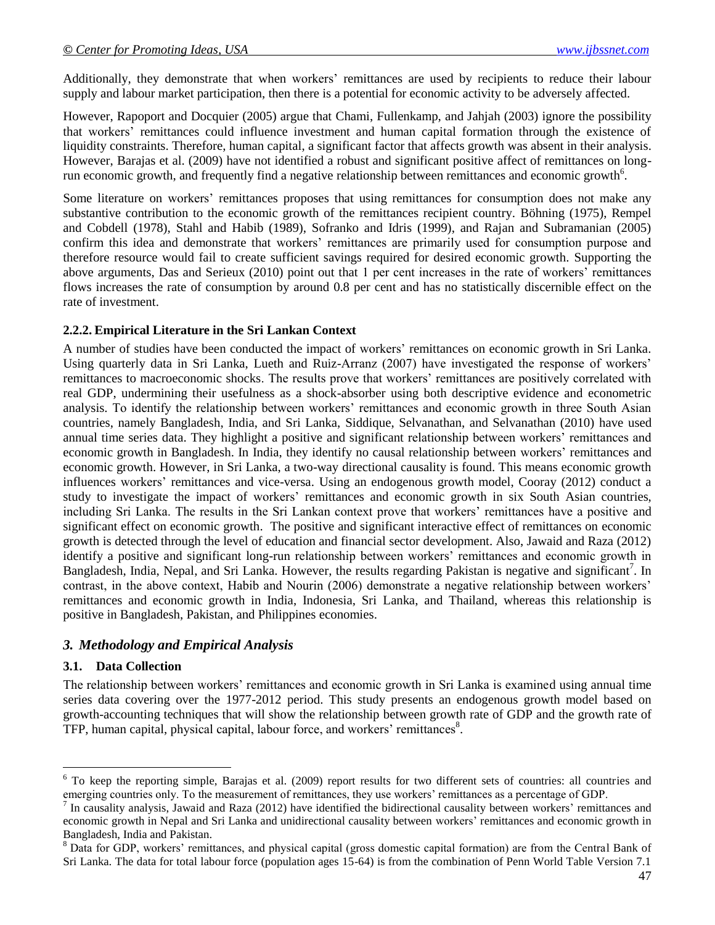Additionally, they demonstrate that when workers' remittances are used by recipients to reduce their labour supply and labour market participation, then there is a potential for economic activity to be adversely affected.

However, Rapoport and Docquier (2005) argue that Chami, Fullenkamp, and Jahjah (2003) ignore the possibility that workers' remittances could influence investment and human capital formation through the existence of liquidity constraints. Therefore, human capital, a significant factor that affects growth was absent in their analysis. However, Barajas et al. (2009) have not identified a robust and significant positive affect of remittances on longrun economic growth, and frequently find a negative relationship between remittances and economic growth<sup>6</sup>.

Some literature on workers' remittances proposes that using remittances for consumption does not make any substantive contribution to the economic growth of the remittances recipient country. Böhning (1975), Rempel and Cobdell (1978), Stahl and Habib (1989), Sofranko and Idris (1999), and Rajan and Subramanian (2005) confirm this idea and demonstrate that workers' remittances are primarily used for consumption purpose and therefore resource would fail to create sufficient savings required for desired economic growth. Supporting the above arguments, Das and Serieux (2010) point out that 1 per cent increases in the rate of workers' remittances flows increases the rate of consumption by around 0.8 per cent and has no statistically discernible effect on the rate of investment.

#### **2.2.2. Empirical Literature in the Sri Lankan Context**

A number of studies have been conducted the impact of workers' remittances on economic growth in Sri Lanka. Using quarterly data in Sri Lanka, Lueth and Ruiz-Arranz (2007) have investigated the response of workers' remittances to macroeconomic shocks. The results prove that workers' remittances are positively correlated with real GDP, undermining their usefulness as a shock-absorber using both descriptive evidence and econometric analysis. To identify the relationship between workers' remittances and economic growth in three South Asian countries, namely Bangladesh, India, and Sri Lanka, Siddique, Selvanathan, and Selvanathan (2010) have used annual time series data. They highlight a positive and significant relationship between workers' remittances and economic growth in Bangladesh. In India, they identify no causal relationship between workers' remittances and economic growth. However, in Sri Lanka, a two-way directional causality is found. This means economic growth influences workers' remittances and vice-versa. Using an endogenous growth model, Cooray (2012) conduct a study to investigate the impact of workers' remittances and economic growth in six South Asian countries, including Sri Lanka. The results in the Sri Lankan context prove that workers' remittances have a positive and significant effect on economic growth. The positive and significant interactive effect of remittances on economic growth is detected through the level of education and financial sector development. Also, Jawaid and Raza (2012) identify a positive and significant long-run relationship between workers' remittances and economic growth in Bangladesh, India, Nepal, and Sri Lanka. However, the results regarding Pakistan is negative and significant<sup>7</sup>. In contrast, in the above context, Habib and Nourin (2006) demonstrate a negative relationship between workers' remittances and economic growth in India, Indonesia, Sri Lanka, and Thailand, whereas this relationship is positive in Bangladesh, Pakistan, and Philippines economies.

### *3. Methodology and Empirical Analysis*

#### **3.1. Data Collection**

 $\overline{a}$ 

The relationship between workers' remittances and economic growth in Sri Lanka is examined using annual time series data covering over the 1977-2012 period. This study presents an endogenous growth model based on growth-accounting techniques that will show the relationship between growth rate of GDP and the growth rate of TFP, human capital, physical capital, labour force, and workers' remittances<sup>8</sup>.

 $6$  To keep the reporting simple, Barajas et al. (2009) report results for two different sets of countries: all countries and emerging countries only. To the measurement of remittances, they use workers' remittances as a percentage of GDP.

<sup>7</sup> In causality analysis, Jawaid and Raza (2012) have identified the bidirectional causality between workers' remittances and economic growth in Nepal and Sri Lanka and unidirectional causality between workers' remittances and economic growth in Bangladesh, India and Pakistan.

<sup>&</sup>lt;sup>8</sup> Data for GDP, workers' remittances, and physical capital (gross domestic capital formation) are from the Central Bank of Sri Lanka. The data for total labour force (population ages 15-64) is from the combination of Penn World Table Version 7.1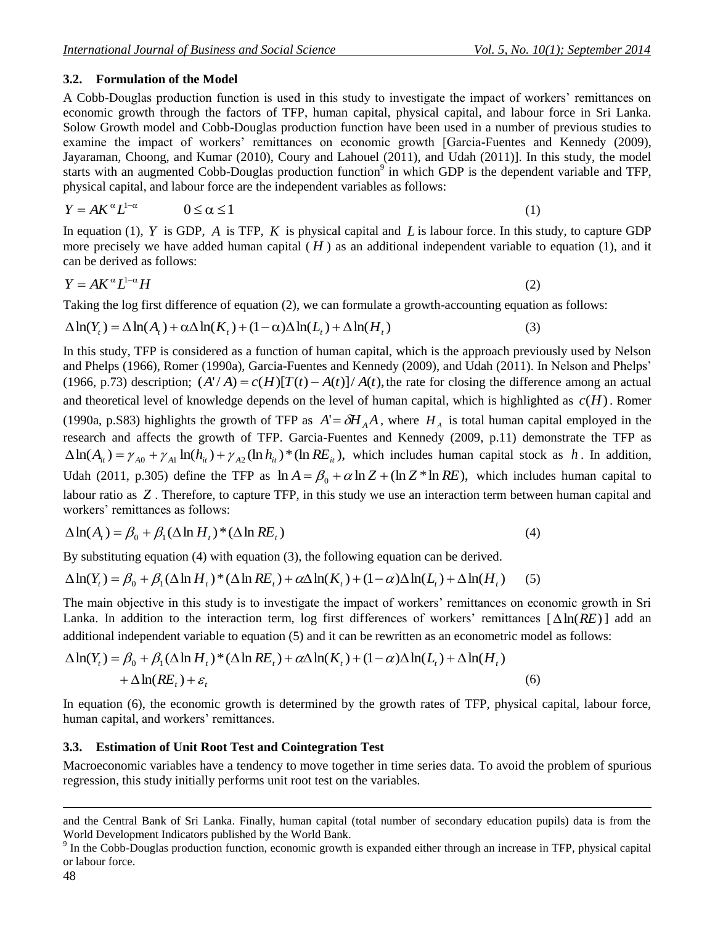## **3.2. Formulation of the Model**

A Cobb-Douglas production function is used in this study to investigate the impact of workers' remittances on economic growth through the factors of TFP, human capital, physical capital, and labour force in Sri Lanka. Solow Growth model and Cobb-Douglas production function have been used in a number of previous studies to examine the impact of workers' remittances on economic growth [Garcia-Fuentes and Kennedy (2009), Jayaraman, Choong, and Kumar (2010), Coury and Lahouel (2011), and Udah (2011)]. In this study, the model starts with an augmented Cobb-Douglas production function<sup>9</sup> in which GDP is the dependent variable and TFP, physical capital, and labour force are the independent variables as follows:

$$
Y = AK^{\alpha}L^{1-\alpha} \qquad \qquad 0 \le \alpha \le 1 \tag{1}
$$

In equation (1),  $Y$  is GDP,  $A$  is TFP,  $K$  is physical capital and  $L$  is labour force. In this study, to capture GDP more precisely we have added human capital  $(H)$  as an additional independent variable to equation (1), and it can be derived as follows:

$$
Y = AK^{\alpha}L^{1-\alpha}H\tag{2}
$$

Taking the log first difference of equation (2), we can formulate a growth-accounting equation as follows:

$$
\Delta \ln(Y_t) = \Delta \ln(A_t) + \alpha \Delta \ln(K_t) + (1 - \alpha) \Delta \ln(L_t) + \Delta \ln(H_t)
$$
\n(3)

In this study, TFP is considered as a function of human capital, which is the approach previously used by Nelson and Phelps (1966), Romer (1990a), Garcia-Fuentes and Kennedy (2009), and Udah (2011). In Nelson and Phelps' (1966, p.73) description;  $(A'/A) = c(H)[T(t) - A(t)]/A(t)$ , the rate for closing the difference among an actual and theoretical level of knowledge depends on the level of human capital, which is highlighted as *c*(*H*) . Romer (1990a, p.S83) highlights the growth of TFP as  $A' = \delta H_A A$ , where  $H_A$  is total human capital employed in the research and affects the growth of TFP. Garcia-Fuentes and Kennedy (2009, p.11) demonstrate the TFP as  $\Delta \ln(A_{it}) = \gamma_{A0} + \gamma_{A1} \ln(h_{it}) + \gamma_{A2} (\ln h_{it})^*$  (ln  $RE_{it}$ ), which includes human capital stock as h. In addition, Udah (2011, p.305) define the TFP as  $\ln A = \beta_0 + \alpha \ln Z + (\ln Z * \ln RE)$ , which includes human capital to labour ratio as Z. Therefore, to capture TFP, in this study we use an interaction term between human capital and workers' remittances as follows:

$$
\Delta \ln(A_t) = \beta_0 + \beta_1 (\Delta \ln H_t)^* (\Delta \ln RE_t)
$$
\n(4)

By substituting equation (4) with equation (3), the following equation can be derived.

$$
\Delta \ln(Y_t) = \beta_0 + \beta_1 (\Delta \ln H_t)^* (\Delta \ln RE_t) + \alpha \Delta \ln(K_t) + (1 - \alpha) \Delta \ln(L_t) + \Delta \ln(H_t)
$$
 (5)

The main objective in this study is to investigate the impact of workers' remittances on economic growth in Sri Lanka. In addition to the interaction term, log first differences of workers' remittances  $[\Delta \ln(RE)]$  add an additional independent variable to equation (5) and it can be rewritten as an econometric model as follows:

$$
\Delta \ln(Y_t) = \beta_0 + \beta_1 (\Delta \ln H_t)^* (\Delta \ln RE_t) + \alpha \Delta \ln(K_t) + (1 - \alpha) \Delta \ln(L_t) + \Delta \ln(H_t)
$$
  
+ 
$$
\Delta \ln(RE_t) + \varepsilon_t
$$
 (6)

In equation (6), the economic growth is determined by the growth rates of TFP, physical capital, labour force, human capital, and workers' remittances.

### **3.3. Estimation of Unit Root Test and Cointegration Test**

Macroeconomic variables have a tendency to move together in time series data. To avoid the problem of spurious regression, this study initially performs unit root test on the variables.

and the Central Bank of Sri Lanka. Finally, human capital (total number of secondary education pupils) data is from the World Development Indicators published by the World Bank.

<sup>&</sup>lt;sup>9</sup> In the Cobb-Douglas production function, economic growth is expanded either through an increase in TFP, physical capital or labour force.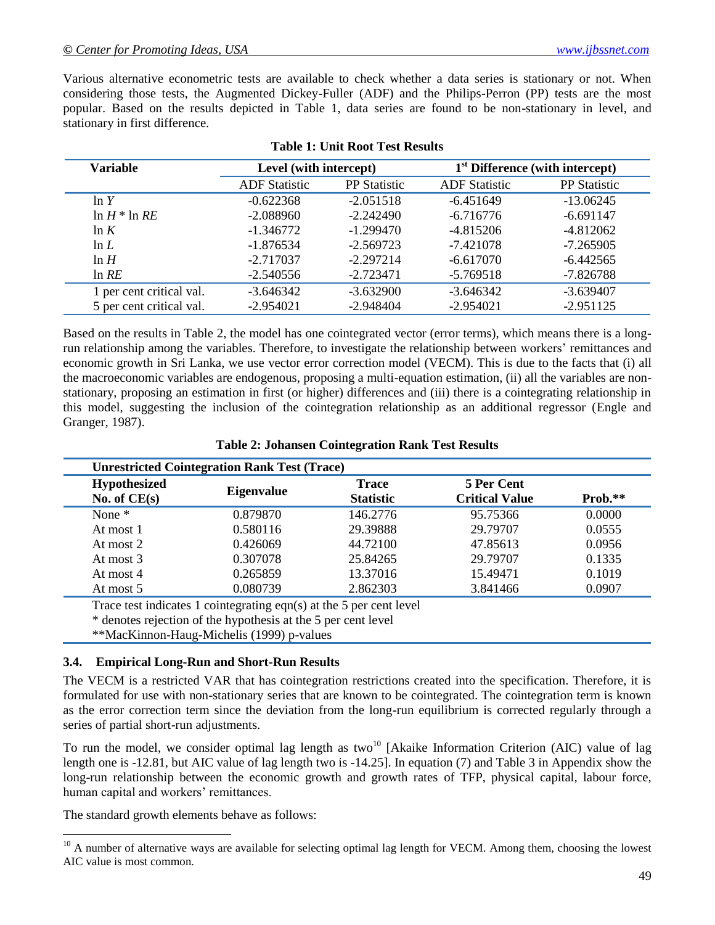Various alternative econometric tests are available to check whether a data series is stationary or not. When considering those tests, the Augmented Dickey-Fuller (ADF) and the Philips-Perron (PP) tests are the most popular. Based on the results depicted in Table 1, data series are found to be non-stationary in level, and stationary in first difference.

| <b>Variable</b>          | Level (with intercept) |                     | 1 <sup>st</sup> Difference (with intercept) |                     |  |
|--------------------------|------------------------|---------------------|---------------------------------------------|---------------------|--|
|                          | <b>ADF</b> Statistic   | <b>PP</b> Statistic | <b>ADF</b> Statistic                        | <b>PP</b> Statistic |  |
| ln Y                     | $-0.622368$            | $-2.051518$         | $-6.451649$                                 | $-13.06245$         |  |
| $\ln H$ * $\ln RE$       | $-2.088960$            | $-2.242490$         | $-6.716776$                                 | $-6.691147$         |  |
| ln K                     | $-1.346772$            | $-1.299470$         | $-4.815206$                                 | $-4.812062$         |  |
| $\ln L$                  | $-1.876534$            | $-2.569723$         | $-7.421078$                                 | $-7.265905$         |  |
| ln H                     | $-2.717037$            | $-2.297214$         | $-6.617070$                                 | $-6.442565$         |  |
| $ln$ RE                  | $-2.540556$            | $-2.723471$         | $-5.769518$                                 | $-7.826788$         |  |
| 1 per cent critical val. | $-3.646342$            | $-3.632900$         | $-3.646342$                                 | $-3.639407$         |  |
| 5 per cent critical val. | $-2.954021$            | $-2.948404$         | $-2.954021$                                 | $-2.951125$         |  |

#### **Table 1: Unit Root Test Results**

Based on the results in Table 2, the model has one cointegrated vector (error terms), which means there is a longrun relationship among the variables. Therefore, to investigate the relationship between workers' remittances and economic growth in Sri Lanka, we use vector error correction model (VECM). This is due to the facts that (i) all the macroeconomic variables are endogenous, proposing a multi-equation estimation, (ii) all the variables are nonstationary, proposing an estimation in first (or higher) differences and (iii) there is a cointegrating relationship in this model, suggesting the inclusion of the cointegration relationship as an additional regressor (Engle and Granger, 1987).

| <b>Hypothesized</b><br>No. of $CE(s)$ | <b>Eigenvalue</b> | <b>Trace</b><br><b>Statistic</b> | 5 Per Cent<br><b>Critical Value</b> | Prob.** |
|---------------------------------------|-------------------|----------------------------------|-------------------------------------|---------|
| None $*$                              | 0.879870          | 146.2776                         | 95.75366                            | 0.0000  |
| At most 1                             | 0.580116          | 29.39888                         | 29.79707                            | 0.0555  |
| At most 2                             | 0.426069          | 44.72100                         | 47.85613                            | 0.0956  |
| At most 3                             | 0.307078          | 25.84265                         | 29.79707                            | 0.1335  |
| At most 4                             | 0.265859          | 13.37016                         | 15.49471                            | 0.1019  |
| At most 5                             | 0.080739          | 2.862303                         | 3.841466                            | 0.0907  |

| <b>Table 2: Johansen Cointegration Rank Test Results</b> |  |  |  |  |
|----------------------------------------------------------|--|--|--|--|
|----------------------------------------------------------|--|--|--|--|

Trace test indicates 1 cointegrating eqn(s) at the 5 per cent level

\* denotes rejection of the hypothesis at the 5 per cent level

\*\*MacKinnon-Haug-Michelis (1999) p-values

#### **3.4. Empirical Long-Run and Short-Run Results**

The VECM is a restricted VAR that has cointegration restrictions created into the specification. Therefore, it is formulated for use with non-stationary series that are known to be cointegrated. The cointegration term is known as the error correction term since the deviation from the long-run equilibrium is corrected regularly through a series of partial short-run adjustments.

To run the model, we consider optimal lag length as two<sup>10</sup> [Akaike Information Criterion (AIC) value of lag length one is -12.81, but AIC value of lag length two is -14.25]. In equation (7) and Table 3 in Appendix show the long-run relationship between the economic growth and growth rates of TFP, physical capital, labour force, human capital and workers' remittances.

The standard growth elements behave as follows:

 $10$  A number of alternative ways are available for selecting optimal lag length for VECM. Among them, choosing the lowest AIC value is most common.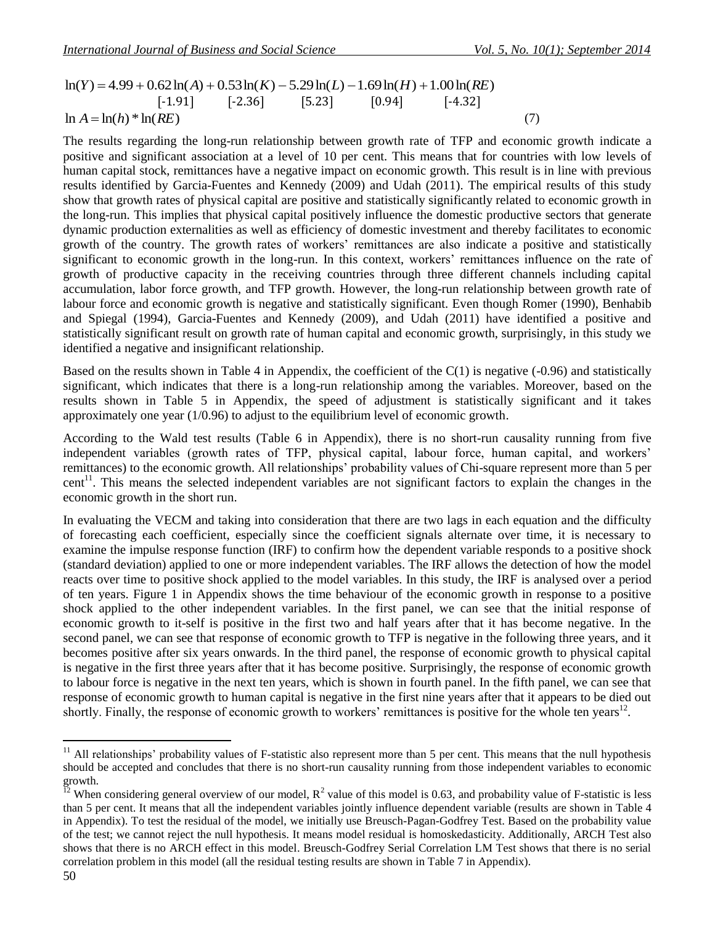$\ln A = \ln(h) * \ln(RE)$  (7)  $[-1.91]$   $[-2.36]$   $[5.23]$   $[0.94]$   $[-4.32]$ 

In(*Y*)  $=4.99 + 0.62$ ln(*A*)  $+1.05$   $\ln(K/2) - 5.29$  ln(*X*)  $-1.09$  ln(*A*)  $-1.09$  ln(*A*)  $-1.09$  ln(*A*)  $-1.09$  ln(*A*)  $-1.09$  ln(*A*)  $-1.09$  ln(*A*)  $-1.09$  ln(*A*)  $-1.09$  ln(*A*)  $-1.09$  ln(*A*)  $-1.09$  ln(*A*) The results regarding the long-run relationship between growth rate of TFP and economic growth indicate a positive and significant association at a level of 10 per cent. This means that for countries with low levels of human capital stock, remittances have a negative impact on economic growth. This result is in line with previous results identified by Garcia-Fuentes and Kennedy (2009) and Udah (2011). The empirical results of this study show that growth rates of physical capital are positive and statistically significantly related to economic growth in the long-run. This implies that physical capital positively influence the domestic productive sectors that generate dynamic production externalities as well as efficiency of domestic investment and thereby facilitates to economic growth of the country. The growth rates of workers' remittances are also indicate a positive and statistically significant to economic growth in the long-run. In this context, workers' remittances influence on the rate of growth of productive capacity in the receiving countries through three different channels including capital accumulation, labor force growth, and TFP growth. However, the long-run relationship between growth rate of labour force and economic growth is negative and statistically significant. Even though Romer (1990), Benhabib and Spiegal (1994), Garcia-Fuentes and Kennedy (2009), and Udah (2011) have identified a positive and statistically significant result on growth rate of human capital and economic growth, surprisingly, in this study we identified a negative and insignificant relationship.

Based on the results shown in Table 4 in Appendix, the coefficient of the C(1) is negative (-0.96) and statistically significant, which indicates that there is a long-run relationship among the variables. Moreover, based on the results shown in Table 5 in Appendix, the speed of adjustment is statistically significant and it takes approximately one year (1/0.96) to adjust to the equilibrium level of economic growth.

According to the Wald test results (Table 6 in Appendix), there is no short-run causality running from five independent variables (growth rates of TFP, physical capital, labour force, human capital, and workers' remittances) to the economic growth. All relationships' probability values of Chi-square represent more than 5 per cent<sup>11</sup>. This means the selected independent variables are not significant factors to explain the changes in the economic growth in the short run.

In evaluating the VECM and taking into consideration that there are two lags in each equation and the difficulty of forecasting each coefficient, especially since the coefficient signals alternate over time, it is necessary to examine the impulse response function (IRF) to confirm how the dependent variable responds to a positive shock (standard deviation) applied to one or more independent variables. The IRF allows the detection of how the model reacts over time to positive shock applied to the model variables. In this study, the IRF is analysed over a period of ten years. Figure 1 in Appendix shows the time behaviour of the economic growth in response to a positive shock applied to the other independent variables. In the first panel, we can see that the initial response of economic growth to it-self is positive in the first two and half years after that it has become negative. In the second panel, we can see that response of economic growth to TFP is negative in the following three years, and it becomes positive after six years onwards. In the third panel, the response of economic growth to physical capital is negative in the first three years after that it has become positive. Surprisingly, the response of economic growth to labour force is negative in the next ten years, which is shown in fourth panel. In the fifth panel, we can see that response of economic growth to human capital is negative in the first nine years after that it appears to be died out shortly. Finally, the response of economic growth to workers' remittances is positive for the whole ten years<sup>12</sup>.

 $11$  All relationships' probability values of F-statistic also represent more than 5 per cent. This means that the null hypothesis should be accepted and concludes that there is no short-run causality running from those independent variables to economic growth.

<sup>&</sup>lt;sup>12</sup> When considering general overview of our model,  $R^2$  value of this model is 0.63, and probability value of F-statistic is less than 5 per cent. It means that all the independent variables jointly influence dependent variable (results are shown in Table 4 in Appendix). To test the residual of the model, we initially use Breusch-Pagan-Godfrey Test. Based on the probability value of the test; we cannot reject the null hypothesis. It means model residual is homoskedasticity. Additionally, ARCH Test also shows that there is no ARCH effect in this model. Breusch-Godfrey Serial Correlation LM Test shows that there is no serial correlation problem in this model (all the residual testing results are shown in Table 7 in Appendix).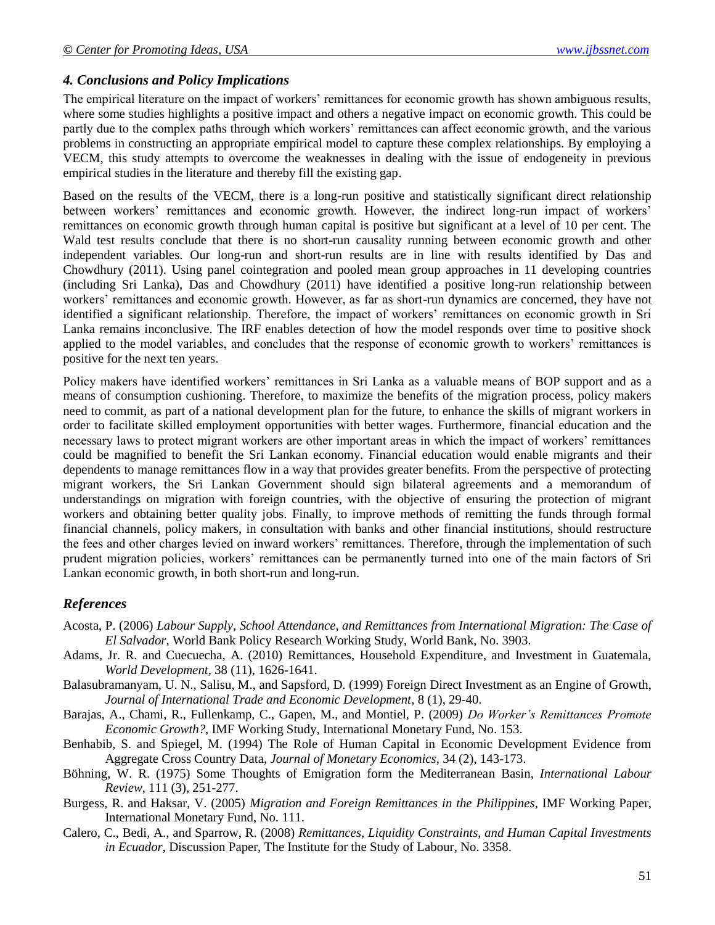#### *4. Conclusions and Policy Implications*

The empirical literature on the impact of workers' remittances for economic growth has shown ambiguous results, where some studies highlights a positive impact and others a negative impact on economic growth. This could be partly due to the complex paths through which workers' remittances can affect economic growth, and the various problems in constructing an appropriate empirical model to capture these complex relationships. By employing a VECM, this study attempts to overcome the weaknesses in dealing with the issue of endogeneity in previous empirical studies in the literature and thereby fill the existing gap.

Based on the results of the VECM, there is a long-run positive and statistically significant direct relationship between workers' remittances and economic growth. However, the indirect long-run impact of workers' remittances on economic growth through human capital is positive but significant at a level of 10 per cent. The Wald test results conclude that there is no short-run causality running between economic growth and other independent variables. Our long-run and short-run results are in line with results identified by Das and Chowdhury (2011). Using panel cointegration and pooled mean group approaches in 11 developing countries (including Sri Lanka), Das and Chowdhury (2011) have identified a positive long-run relationship between workers' remittances and economic growth. However, as far as short-run dynamics are concerned, they have not identified a significant relationship. Therefore, the impact of workers' remittances on economic growth in Sri Lanka remains inconclusive. The IRF enables detection of how the model responds over time to positive shock applied to the model variables, and concludes that the response of economic growth to workers' remittances is positive for the next ten years.

Policy makers have identified workers' remittances in Sri Lanka as a valuable means of BOP support and as a means of consumption cushioning. Therefore, to maximize the benefits of the migration process, policy makers need to commit, as part of a national development plan for the future, to enhance the skills of migrant workers in order to facilitate skilled employment opportunities with better wages. Furthermore, financial education and the necessary laws to protect migrant workers are other important areas in which the impact of workers' remittances could be magnified to benefit the Sri Lankan economy. Financial education would enable migrants and their dependents to manage remittances flow in a way that provides greater benefits. From the perspective of protecting migrant workers, the Sri Lankan Government should sign bilateral agreements and a memorandum of understandings on migration with foreign countries, with the objective of ensuring the protection of migrant workers and obtaining better quality jobs. Finally, to improve methods of remitting the funds through formal financial channels, policy makers, in consultation with banks and other financial institutions, should restructure the fees and other charges levied on inward workers' remittances. Therefore, through the implementation of such prudent migration policies, workers' remittances can be permanently turned into one of the main factors of Sri Lankan economic growth, in both short-run and long-run.

### *References*

- Acosta, P. (2006) *Labour Supply, School Attendance, and Remittances from International Migration: The Case of El Salvador*, World Bank Policy Research Working Study, World Bank, No. 3903.
- Adams, Jr. R. and Cuecuecha, A. (2010) Remittances, Household Expenditure, and Investment in Guatemala, *World Development,* 38 (11), 1626-1641.
- Balasubramanyam, U. N., Salisu, M., and Sapsford, D. (1999) Foreign Direct Investment as an Engine of Growth, *Journal of International Trade and Economic Development*, 8 (1), 29-40.
- Barajas, A., Chami, R., Fullenkamp, C., Gapen, M., and Montiel, P. (2009) *Do Worker's Remittances Promote Economic Growth?*, IMF Working Study, International Monetary Fund, No. 153.
- Benhabib, S. and Spiegel, M. (1994) The Role of Human Capital in Economic Development Evidence from Aggregate Cross Country Data, *Journal of Monetary Economics*, 34 (2), 143-173.
- Böhning, W. R. (1975) Some Thoughts of Emigration form the Mediterranean Basin, *International Labour Review*, 111 (3), 251-277.
- Burgess, R. and Haksar, V. (2005) *Migration and Foreign Remittances in the Philippines*, IMF Working Paper, International Monetary Fund, No. 111.
- Calero, C., Bedi, A., and Sparrow, R. (2008) *Remittances, Liquidity Constraints, and Human Capital Investments in Ecuador*, Discussion Paper, The Institute for the Study of Labour, No. 3358.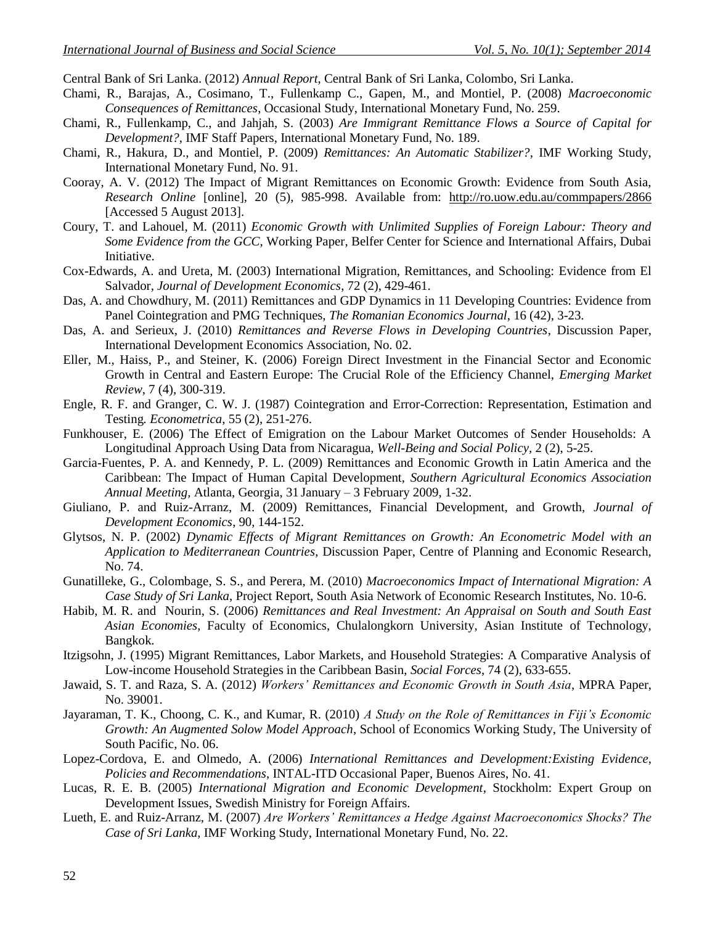Central Bank of Sri Lanka. (2012) *Annual Report*, Central Bank of Sri Lanka, Colombo, Sri Lanka.

- Chami, R., Barajas, A., Cosimano, T., Fullenkamp C., Gapen, M., and Montiel, P. (2008) *Macroeconomic Consequences of Remittances*, Occasional Study, International Monetary Fund, No. 259.
- Chami, R., Fullenkamp, C., and Jahjah, S. (2003) *Are Immigrant Remittance Flows a Source of Capital for Development?*, IMF Staff Papers, International Monetary Fund, No. 189.
- Chami, R., Hakura, D., and Montiel, P. (2009) *Remittances: An Automatic Stabilizer?*, IMF Working Study, International Monetary Fund, No. 91.
- Cooray, A. V. (2012) The Impact of Migrant Remittances on Economic Growth: Evidence from South Asia, *Research Online* [online], 20 (5), 985-998. Available from: <http://ro.uow.edu.au/commpapers/2866> [Accessed 5 August 2013].
- Coury, T. and Lahouel, M. (2011) *Economic Growth with Unlimited Supplies of Foreign Labour: Theory and Some Evidence from the GCC*, Working Paper, Belfer Center for Science and International Affairs, Dubai Initiative.
- Cox-Edwards, A. and Ureta, M. (2003) International Migration, Remittances, and Schooling: Evidence from El Salvador, *Journal of Development Economics*, 72 (2), 429-461.
- Das, A. and Chowdhury, M. (2011) Remittances and GDP Dynamics in 11 Developing Countries: Evidence from Panel Cointegration and PMG Techniques, *The Romanian Economics Journal*, 16 (42), 3-23.
- Das, A. and Serieux, J. (2010) *Remittances and Reverse Flows in Developing Countries*, Discussion Paper, International Development Economics Association, No. 02.
- Eller, M., Haiss, P., and Steiner, K. (2006) Foreign Direct Investment in the Financial Sector and Economic Growth in Central and Eastern Europe: The Crucial Role of the Efficiency Channel, *Emerging Market Review*, 7 (4), 300-319.
- Engle, R. F. and Granger, C. W. J. (1987) Cointegration and Error-Correction: Representation, Estimation and Testing*. Econometrica*, 55 (2), 251-276.
- Funkhouser, E. (2006) The Effect of Emigration on the Labour Market Outcomes of Sender Households: A Longitudinal Approach Using Data from Nicaragua, *Well-Being and Social Policy,* 2 (2), 5-25.
- Garcia-Fuentes, P. A. and Kennedy, P. L. (2009) Remittances and Economic Growth in Latin America and the Caribbean: The Impact of Human Capital Development, *Southern Agricultural Economics Association Annual Meeting,* Atlanta, Georgia, 31 January – 3 February 2009, 1-32.
- Giuliano, P. and Ruiz-Arranz, M. (2009) Remittances, Financial Development, and Growth, *Journal of Development Economics*, 90, 144-152.
- Glytsos, N. P. (2002) *Dynamic Effects of Migrant Remittances on Growth: An Econometric Model with an Application to Mediterranean Countries*, Discussion Paper, Centre of Planning and Economic Research, No. 74.
- Gunatilleke, G., Colombage, S. S., and Perera, M. (2010) *Macroeconomics Impact of International Migration: A Case Study of Sri Lanka*, Project Report, South Asia Network of Economic Research Institutes, No. 10-6.
- Habib, M. R. and Nourin, S. (2006) *Remittances and Real Investment: An Appraisal on South and South East Asian Economies*, Faculty of Economics, Chulalongkorn University, Asian Institute of Technology, Bangkok.
- Itzigsohn, J. (1995) Migrant Remittances, Labor Markets, and Household Strategies: A Comparative Analysis of Low-income Household Strategies in the Caribbean Basin, *Social Forces*, 74 (2), 633-655.
- Jawaid, S. T. and Raza, S. A. (2012) *Workers' Remittances and Economic Growth in South Asia*, MPRA Paper, No. 39001.
- Jayaraman, T. K., Choong, C. K., and Kumar, R. (2010) *A Study on the Role of Remittances in Fiji's Economic Growth: An Augmented Solow Model Approach*, School of Economics Working Study, The University of South Pacific, No. 06.
- Lopez-Cordova, E. and Olmedo, A. (2006) *International Remittances and Development:Existing Evidence, Policies and Recommendations*, INTAL-ITD Occasional Paper, Buenos Aires, No. 41.
- Lucas, R. E. B. (2005) *International Migration and Economic Development*, Stockholm: Expert Group on Development Issues, Swedish Ministry for Foreign Affairs.
- Lueth, E. and Ruiz-Arranz, M. (2007) *Are Workers' Remittances a Hedge Against Macroeconomics Shocks? The Case of Sri Lanka*, IMF Working Study, International Monetary Fund, No. 22.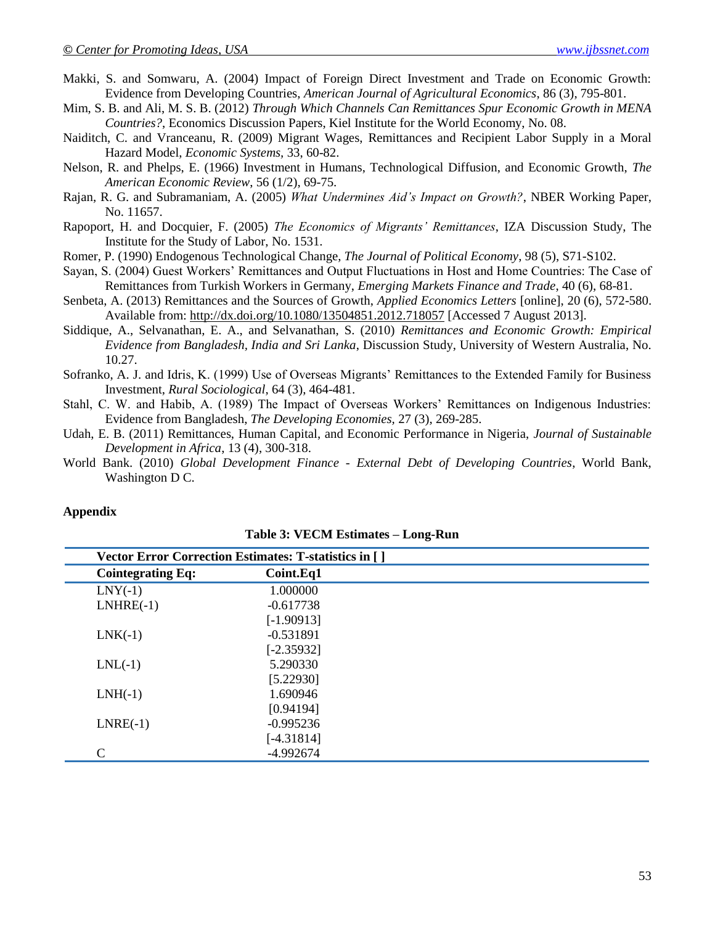- Makki, S. and Somwaru, A. (2004) Impact of Foreign Direct Investment and Trade on Economic Growth: Evidence from Developing Countries, *American Journal of Agricultural Economics*, 86 (3), 795-801.
- Mim, S. B. and Ali, M. S. B. (2012) *Through Which Channels Can Remittances Spur Economic Growth in MENA Countries?*, Economics Discussion Papers, Kiel Institute for the World Economy, No. 08.
- Naiditch, C. and Vranceanu, R. (2009) Migrant Wages, Remittances and Recipient Labor Supply in a Moral Hazard Model, *Economic Systems,* 33, 60-82.
- Nelson, R. and Phelps, E. (1966) Investment in Humans, Technological Diffusion, and Economic Growth, *The American Economic Review*, 56 (1/2), 69-75.
- Rajan, R. G. and Subramaniam, A. (2005) *What Undermines Aid's Impact on Growth?*, NBER Working Paper, No. 11657.
- Rapoport, H. and Docquier, F. (2005) *The Economics of Migrants' Remittances*, IZA Discussion Study, The Institute for the Study of Labor, No. 1531.
- Romer, P. (1990) Endogenous Technological Change, *The Journal of Political Economy*, 98 (5), S71-S102.
- Sayan, S. (2004) Guest Workers' Remittances and Output Fluctuations in Host and Home Countries: The Case of Remittances from Turkish Workers in Germany, *Emerging Markets Finance and Trade*, 40 (6), 68-81.
- Senbeta, A. (2013) Remittances and the Sources of Growth, *Applied Economics Letters* [online], 20 (6), 572-580. Available from: [http://dx.doi.org/10.1080/13504851.](http://dx.doi.org/10.1080/13504851)2012.718057 [Accessed 7 August 2013].
- Siddique, A., Selvanathan, E. A., and Selvanathan, S. (2010) *Remittances and Economic Growth: Empirical Evidence from Bangladesh, India and Sri Lanka*, Discussion Study, University of Western Australia, No. 10.27.
- Sofranko, A. J. and Idris, K. (1999) Use of Overseas Migrants' Remittances to the Extended Family for Business Investment, *Rural Sociological*, 64 (3), 464-481.
- Stahl, C. W. and Habib, A. (1989) The Impact of Overseas Workers' Remittances on Indigenous Industries: Evidence from Bangladesh, *The Developing Economies,* 27 (3), 269-285.
- Udah, E. B. (2011) Remittances, Human Capital, and Economic Performance in Nigeria, *Journal of Sustainable Development in Africa*, 13 (4), 300-318.
- World Bank. (2010) *Global Development Finance - External Debt of Developing Countries*, World Bank, Washington D C.

#### **Appendix**

| Vector Error Correction Estimates: T-statistics in [] |              |  |  |  |
|-------------------------------------------------------|--------------|--|--|--|
| <b>Cointegrating Eq:</b>                              | Coint.Eq1    |  |  |  |
| $LNY(-1)$                                             | 1.000000     |  |  |  |
| $LNHRE(-1)$                                           | $-0.617738$  |  |  |  |
|                                                       | $[-1.90913]$ |  |  |  |
| $LNK(-1)$                                             | $-0.531891$  |  |  |  |
|                                                       | $[-2.35932]$ |  |  |  |
| $LNL(-1)$                                             | 5.290330     |  |  |  |
|                                                       | [5.22930]    |  |  |  |
| $LNH(-1)$                                             | 1.690946     |  |  |  |
|                                                       | [0.94194]    |  |  |  |
| $LNRE(-1)$                                            | $-0.995236$  |  |  |  |
|                                                       | $[-4.31814]$ |  |  |  |
| C                                                     | -4.992674    |  |  |  |

**Table 3: VECM Estimates – Long-Run**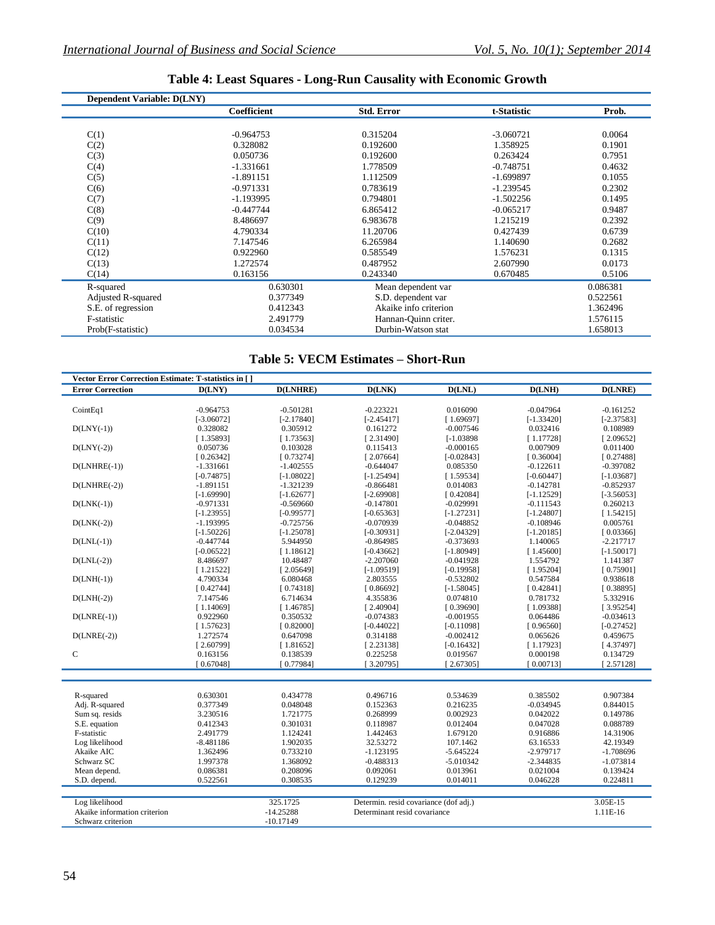| <b>Dependent Variable: D(LNY)</b> |             |                       |             |          |
|-----------------------------------|-------------|-----------------------|-------------|----------|
|                                   | Coefficient | <b>Std. Error</b>     | t-Statistic | Prob.    |
|                                   |             |                       |             |          |
| C(1)                              | $-0.964753$ | 0.315204              | $-3.060721$ | 0.0064   |
| C(2)                              | 0.328082    | 0.192600              | 1.358925    | 0.1901   |
| C(3)                              | 0.050736    | 0.192600              | 0.263424    | 0.7951   |
| C(4)                              | $-1.331661$ | 1.778509              | $-0.748751$ | 0.4632   |
| C(5)                              | $-1.891151$ | 1.112509              | $-1.699897$ | 0.1055   |
| C(6)                              | $-0.971331$ | 0.783619              | $-1.239545$ | 0.2302   |
| C(7)                              | $-1.193995$ | 0.794801              | $-1.502256$ | 0.1495   |
| C(8)                              | $-0.447744$ | 6.865412              | $-0.065217$ | 0.9487   |
| C(9)                              | 8.486697    | 6.983678              | 1.215219    | 0.2392   |
| C(10)                             | 4.790334    | 11.20706              | 0.427439    | 0.6739   |
| C(11)                             | 7.147546    | 6.265984              | 1.140690    | 0.2682   |
| C(12)                             | 0.922960    | 0.585549              | 1.576231    | 0.1315   |
| C(13)                             | 1.272574    | 0.487952              | 2.607990    | 0.0173   |
| C(14)                             | 0.163156    | 0.243340              | 0.670485    | 0.5106   |
| R-squared                         | 0.630301    | Mean dependent var    |             | 0.086381 |
| Adjusted R-squared                | 0.377349    | S.D. dependent var    |             | 0.522561 |
| S.E. of regression                | 0.412343    | Akaike info criterion |             | 1.362496 |
| F-statistic                       | 2.491779    | Hannan-Quinn criter.  |             | 1.576115 |
| Prob(F-statistic)                 | 0.034534    | Durbin-Watson stat    |             | 1.658013 |

## **Table 4: Least Squares - Long-Run Causality with Economic Growth**

## **Table 5: VECM Estimates – Short-Run**

| Vector Error Correction Estimate: T-statistics in [ ] |              |              |                                       |              |              |              |
|-------------------------------------------------------|--------------|--------------|---------------------------------------|--------------|--------------|--------------|
| <b>Error Correction</b>                               | D(LNY)       | D(LNHRE)     | D(LNK)                                | D(LNL)       | D(LNH)       | D(LNRE)      |
|                                                       |              |              |                                       |              |              |              |
| CointEq1                                              | $-0.964753$  | $-0.501281$  | $-0.223221$                           | 0.016090     | $-0.047964$  | $-0.161252$  |
|                                                       | $[-3.06072]$ | $[-2.17840]$ | $[-2.45417]$                          | [1.69697]    | $[-1.33420]$ | $[-2.37583]$ |
| $D(LNY(-1))$                                          | 0.328082     | 0.305912     | 0.161272                              | $-0.007546$  | 0.032416     | 0.108989     |
|                                                       | [1.35893]    | [1.73563]    | [2.31490]                             | $[-1.03898]$ | [1.17728]    | [2.09652]    |
| $D(LNY(-2))$                                          | 0.050736     | 0.103028     | 0.115413                              | $-0.000165$  | 0.007909     | 0.011400     |
|                                                       | [0.26342]    | [0.73274]    | [2.07664]                             | $[-0.02843]$ | [0.36004]    | [0.27488]    |
| $D(LNHRE(-1))$                                        | $-1.331661$  | $-1.402555$  | $-0.644047$                           | 0.085350     | $-0.122611$  | $-0.397082$  |
|                                                       | $[-0.74875]$ | $[-1.08022]$ | $[-1.25494]$                          | [1.59534]    | $[-0.60447]$ | $[-1.03687]$ |
| $D(LNHRE(-2))$                                        | $-1.891151$  | $-1.321239$  | $-0.866481$                           | 0.014083     | $-0.142781$  | $-0.852937$  |
|                                                       | $[-1.69990]$ | $[-1.62677]$ | $[-2.69908]$                          | [0.42084]    | $[-1.12529]$ | $[-3.56053]$ |
| $D(LNK(-1))$                                          | $-0.971331$  | $-0.569660$  | $-0.147801$                           | $-0.029991$  | $-0.111543$  | 0.260213     |
|                                                       | $[-1.23955]$ | $[-0.99577]$ | $[-0.65363]$                          | $[-1.27231]$ | $[-1.24807]$ | [1.54215]    |
| $D(LNK(-2))$                                          | $-1.193995$  | $-0.725756$  | $-0.070939$                           | $-0.048852$  | $-0.108946$  | 0.005761     |
|                                                       | $[-1.50226]$ | $[-1.25078]$ | $[-0.30931]$                          | $[-2.04329]$ | $[-1.20185]$ | [0.03366]    |
| $D(LNL(-1))$                                          | $-0.447744$  | 5.944950     | $-0.864985$                           | $-0.373693$  | 1.140065     | $-2.217717$  |
|                                                       | $[-0.06522]$ | [1.18612]    | $[-0.43662]$                          | $[-1.80949]$ | [1.45600]    | $[-1.50017]$ |
| $D(LNL(-2))$                                          | 8.486697     | 10.48487     | $-2.207060$                           | $-0.041928$  | 1.554792     | 1.141387     |
|                                                       | [1.21522]    | [2.05649]    | $[-1.09519]$                          | $[-0.19958]$ | [1.95204]    | [0.75901]    |
| $D(LNH(-1))$                                          | 4.790334     | 6.080468     | 2.803555                              | $-0.532802$  | 0.547584     | 0.938618     |
|                                                       | [0.42744]    | [0.74318]    | [0.86692]                             | $[-1.58045]$ | [0.42841]    | [0.38895]    |
| $D(LNH(-2))$                                          | 7.147546     | 6.714634     | 4.355836                              | 0.074810     | 0.781732     | 5.332916     |
|                                                       | [1.14069]    | [1.46785]    | [2.40904]                             | [0.39690]    | [1.09388]    | [3.95254]    |
| $D(LNRE(-1))$                                         | 0.922960     | 0.350532     | $-0.074383$                           | $-0.001955$  | 0.064486     | $-0.034613$  |
|                                                       | [1.57623]    | [0.82000]    | $[-0.44022]$                          | $[-0.11098]$ | [0.96560]    | $[-0.27452]$ |
| $D(LNRE(-2))$                                         | 1.272574     | 0.647098     | 0.314188                              | $-0.002412$  | 0.065626     | 0.459675     |
|                                                       | [2.60799]    | [1.81652]    | [2.23138]                             | $[-0.16432]$ | [1.17923]    | [4.37497]    |
| $\mathbf C$                                           | 0.163156     | 0.138539     | 0.225258                              | 0.019567     | 0.000198     | 0.134729     |
|                                                       | [0.67048]    | [0.77984]    | [3.20795]                             | [2.67305]    | [0.00713]    | [2.57128]    |
|                                                       |              |              |                                       |              |              |              |
|                                                       |              |              |                                       |              |              |              |
| R-squared                                             | 0.630301     | 0.434778     | 0.496716                              | 0.534639     | 0.385502     | 0.907384     |
| Adj. R-squared                                        | 0.377349     | 0.048048     | 0.152363                              | 0.216235     | $-0.034945$  | 0.844015     |
| Sum sq. resids                                        | 3.230516     | 1.721775     | 0.268999                              | 0.002923     | 0.042022     | 0.149786     |
| S.E. equation                                         | 0.412343     | 0.301031     | 0.118987                              | 0.012404     | 0.047028     | 0.088789     |
| F-statistic                                           | 2.491779     | 1.124241     | 1.442463                              | 1.679120     | 0.916886     | 14.31906     |
| Log likelihood                                        | $-8.481186$  | 1.902035     | 32.53272                              | 107.1462     | 63.16533     | 42.19349     |
| Akaike AIC                                            | 1.362496     | 0.733210     | $-1.123195$                           | $-5.645224$  | $-2.979717$  | $-1.708696$  |
| Schwarz SC                                            | 1.997378     | 1.368092     | $-0.488313$                           | $-5.010342$  | $-2.344835$  | $-1.073814$  |
| Mean depend.                                          | 0.086381     | 0.208096     | 0.092061                              | 0.013961     | 0.021004     | 0.139424     |
| S.D. depend.                                          | 0.522561     | 0.308535     | 0.129239                              | 0.014011     | 0.046228     | 0.224811     |
|                                                       |              |              |                                       |              |              |              |
| Log likelihood                                        |              | 325.1725     | Determin. resid covariance (dof adj.) |              |              | 3.05E-15     |
| Akaike information criterion                          |              | $-14.25288$  | Determinant resid covariance          |              |              | $1.11E-16$   |
| Schwarz criterion                                     |              | $-10.17149$  |                                       |              |              |              |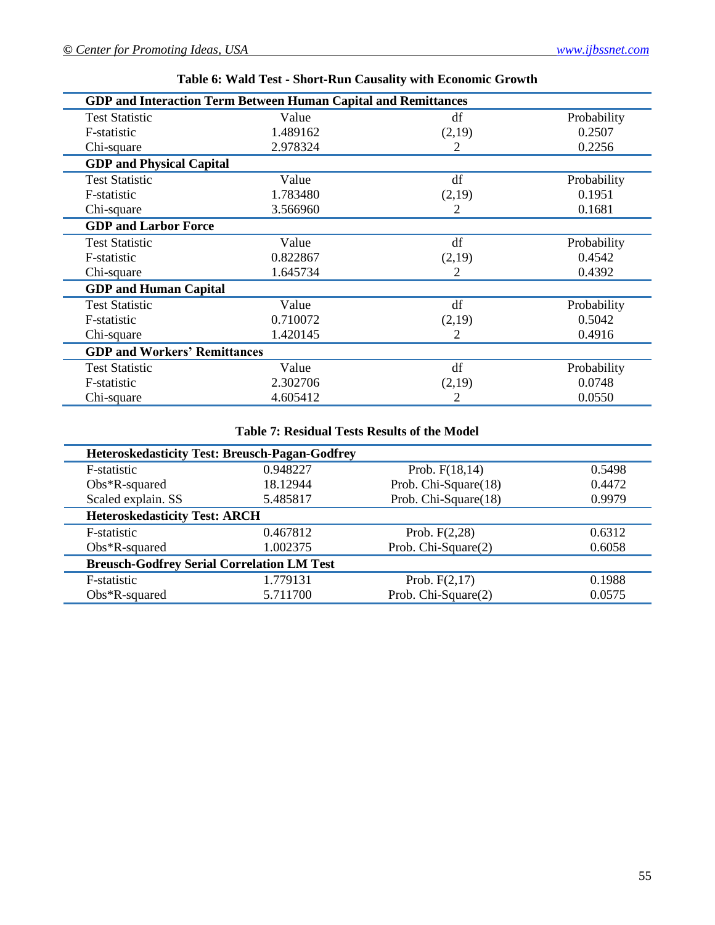| <b>GDP and Interaction Term Between Human Capital and Remittances</b> |                              |        |             |  |  |  |
|-----------------------------------------------------------------------|------------------------------|--------|-------------|--|--|--|
| <b>Test Statistic</b>                                                 | Value                        | df     | Probability |  |  |  |
| F-statistic                                                           | 1.489162                     | (2,19) | 0.2507      |  |  |  |
| Chi-square                                                            | 2.978324                     | 2      | 0.2256      |  |  |  |
| <b>GDP</b> and Physical Capital                                       |                              |        |             |  |  |  |
| <b>Test Statistic</b>                                                 | Value                        | df     | Probability |  |  |  |
| F-statistic                                                           | 1.783480                     | (2,19) | 0.1951      |  |  |  |
| Chi-square                                                            | 3.566960                     | 2      | 0.1681      |  |  |  |
| <b>GDP and Larbor Force</b>                                           |                              |        |             |  |  |  |
| <b>Test Statistic</b>                                                 | Value                        | df     | Probability |  |  |  |
| F-statistic                                                           | 0.822867                     | (2,19) | 0.4542      |  |  |  |
| Chi-square                                                            | 1.645734                     | 2      | 0.4392      |  |  |  |
|                                                                       | <b>GDP</b> and Human Capital |        |             |  |  |  |
| <b>Test Statistic</b>                                                 | Value                        | df     | Probability |  |  |  |
| F-statistic                                                           | 0.710072                     | (2,19) | 0.5042      |  |  |  |
| Chi-square                                                            | 1.420145                     | 2      | 0.4916      |  |  |  |
| <b>GDP and Workers' Remittances</b>                                   |                              |        |             |  |  |  |
| <b>Test Statistic</b>                                                 | Value                        | df     | Probability |  |  |  |
| F-statistic                                                           | 2.302706                     | (2,19) | 0.0748      |  |  |  |
| Chi-square                                                            | 4.605412                     | 2      | 0.0550      |  |  |  |

**Table 6: Wald Test - Short-Run Causality with Economic Growth**

## **Table 7: Residual Tests Results of the Model**

| <b>Heteroskedasticity Test: Breusch-Pagan-Godfrey</b> |                                      |                      |        |  |  |  |  |
|-------------------------------------------------------|--------------------------------------|----------------------|--------|--|--|--|--|
| F-statistic                                           | 0.948227                             | Prob. $F(18,14)$     | 0.5498 |  |  |  |  |
| $Obs*R$ -squared                                      | 18.12944                             | Prob. Chi-Square(18) | 0.4472 |  |  |  |  |
| Scaled explain. SS                                    | 5.485817                             | Prob. Chi-Square(18) | 0.9979 |  |  |  |  |
|                                                       | <b>Heteroskedasticity Test: ARCH</b> |                      |        |  |  |  |  |
| F-statistic                                           | 0.467812                             | Prob. $F(2,28)$      | 0.6312 |  |  |  |  |
| $Obs*R$ -squared                                      | 1.002375                             | Prob. Chi-Square(2)  | 0.6058 |  |  |  |  |
| <b>Breusch-Godfrey Serial Correlation LM Test</b>     |                                      |                      |        |  |  |  |  |
| F-statistic                                           | 1.779131                             | Prob. $F(2,17)$      | 0.1988 |  |  |  |  |
| $Obs*R$ -squared                                      | 5.711700                             | Prob. Chi-Square(2)  | 0.0575 |  |  |  |  |